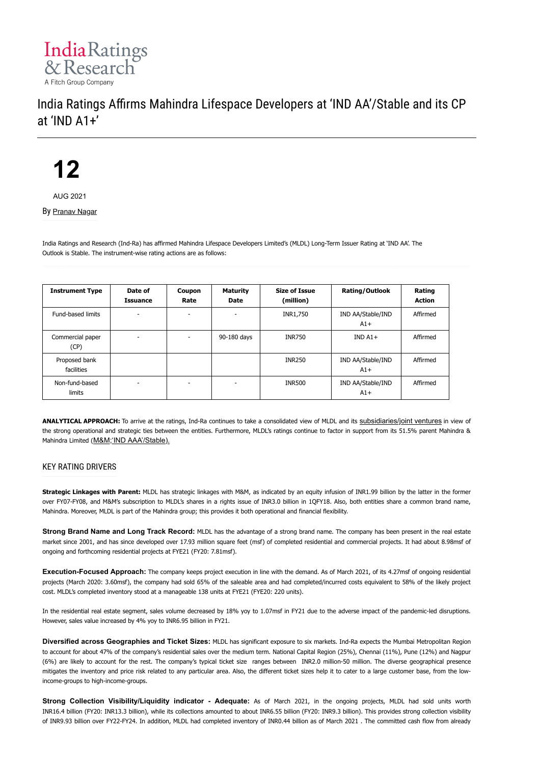

# India Ratings Affirms Mahindra Lifespace Developers at 'IND AA'/Stable and its CP at 'IND A1+'

**12**

AUG 2021

By [Pranav Nagar](https://www.indiaratings.co.in/Analyst?analystID=362&analystName=Pranav%20Nagar)

India Ratings and Research (Ind-Ra) has affirmed Mahindra Lifespace Developers Limited's (MLDL) Long-Term Issuer Rating at 'IND AA'. The Outlook is Stable. The instrument-wise rating actions are as follows:

| <b>Instrument Type</b>      | Date of<br><b>Issuance</b> | Coupon<br>Rate | <b>Maturity</b><br>Date | <b>Size of Issue</b><br>(million) | Rating/Outlook             | Rating<br><b>Action</b> |
|-----------------------------|----------------------------|----------------|-------------------------|-----------------------------------|----------------------------|-------------------------|
| Fund-based limits           |                            |                |                         | INR1,750                          | IND AA/Stable/IND<br>$A1+$ | Affirmed                |
| Commercial paper<br>(CP)    | $\overline{\phantom{a}}$   |                | 90-180 days             | <b>INR750</b>                     | $INDA1+$                   | Affirmed                |
| Proposed bank<br>facilities |                            |                |                         | <b>INR250</b>                     | IND AA/Stable/IND<br>$A1+$ | Affirmed                |
| Non-fund-based<br>limits    | -                          |                | ۰                       | <b>INR500</b>                     | IND AA/Stable/IND<br>$A1+$ | Affirmed                |

ANALYTICAL APPROACH: To arrive at the ratings, Ind-Ra continues to take a consolidated view of MLDL and its [subsidiaries/joint ventures](https://indiaratings.co.in/data/Uploads/Others/Subs/MLDL%20Subsidiaries%20and%20JVs%20List.pdf) in view of the strong operational and strategic ties between the entities. Furthermore, MLDL's ratings continue to factor in support from its 51.5% parent Mahindra & Mahindra Limited ([M&M;'IND AAA'/Stable\).](https://www.indiaratings.co.in/Issuers?search=1&issuerID=2673)

# KEY RATING DRIVERS

**Strategic Linkages with Parent:** MLDL has strategic linkages with M&M, as indicated by an equity infusion of INR1.99 billion by the latter in the former over FY07-FY08, and M&M's subscription to MLDL's shares in a rights issue of INR3.0 billion in 1QFY18. Also, both entities share a common brand name, Mahindra. Moreover, MLDL is part of the Mahindra group; this provides it both operational and financial flexibility.

**Strong Brand Name and Long Track Record:** MLDL has the advantage of a strong brand name. The company has been present in the real estate market since 2001, and has since developed over 17.93 million square feet (msf) of completed residential and commercial projects. It had about 8.98msf of ongoing and forthcoming residential projects at FYE21 (FY20: 7.81msf).

**Execution-Focused Approach:** The company keeps project execution in line with the demand. As of March 2021, of its 4.27msf of ongoing residential projects (March 2020: 3.60msf), the company had sold 65% of the saleable area and had completed/incurred costs equivalent to 58% of the likely project cost. MLDL's completed inventory stood at a manageable 138 units at FYE21 (FYE20: 220 units).

In the residential real estate segment, sales volume decreased by 18% yoy to 1.07msf in FY21 due to the adverse impact of the pandemic-led disruptions. However, sales value increased by 4% yoy to INR6.95 billion in FY21.

**Diversified across Geographies and Ticket Sizes:** MLDL has significant exposure to six markets. Ind-Ra expects the Mumbai Metropolitan Region to account for about 47% of the company's residential sales over the medium term. National Capital Region (25%), Chennai (11%), Pune (12%) and Nagpur (6%) are likely to account for the rest. The company's typical ticket size ranges between INR2.0 million-50 million. The diverse geographical presence mitigates the inventory and price risk related to any particular area. Also, the different ticket sizes help it to cater to a large customer base, from the lowincome-groups to high-income-groups.

Strong Collection Visibility/Liquidity indicator - Adequate: As of March 2021, in the ongoing projects, MLDL had sold units worth INR16.4 billion (FY20: INR13.3 billion), while its collections amounted to about INR6.55 billion (FY20: INR9.3 billion). This provides strong collection visibility of INR9.93 billion over FY22-FY24. In addition, MLDL had completed inventory of INR0.44 billion as of March 2021 . The committed cash flow from already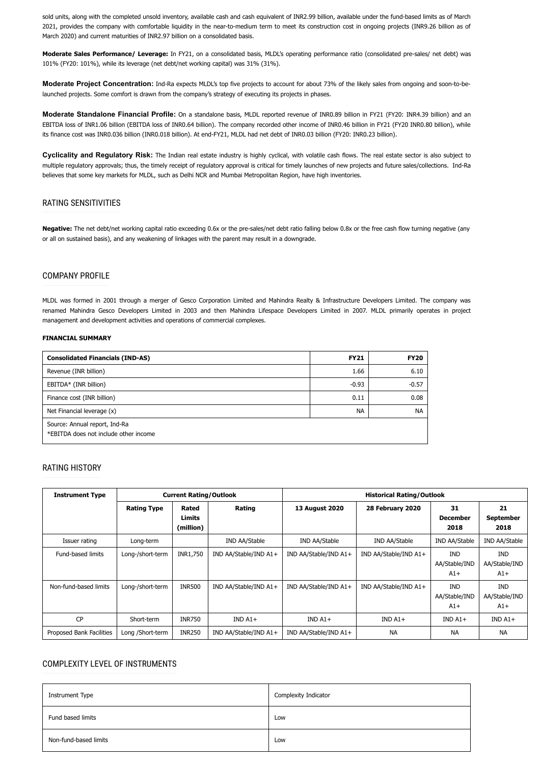sold units, along with the completed unsold inventory, available cash and cash equivalent of INR2.99 billion, available under the fund-based limits as of March 2021, provides the company with comfortable liquidity in the near-to-medium term to meet its construction cost in ongoing projects (INR9.26 billion as of March 2020) and current maturities of INR2.97 billion on a consolidated basis.

**Moderate Sales Performance/ Leverage:** In FY21, on a consolidated basis, MLDL's operating performance ratio (consolidated pre-sales/ net debt) was 101% (FY20: 101%), while its leverage (net debt/net working capital) was 31% (31%).

**Moderate Project Concentration:** Ind-Ra expects MLDL's top five projects to account for about 73% of the likely sales from ongoing and soon-to-belaunched projects. Some comfort is drawn from the company's strategy of executing its projects in phases.

**Moderate Standalone Financial Profile:** On a standalone basis, MLDL reported revenue of INR0.89 billion in FY21 (FY20: INR4.39 billion) and an EBITDA loss of INR1.06 billion (EBITDA loss of INR0.64 billion). The company recorded other income of INR0.46 billion in FY21 (FY20 INR0.80 billion), while its finance cost was INR0.036 billion (INR0.018 billion). At end-FY21, MLDL had net debt of INR0.03 billion (FY20: INR0.23 billion).

**Cyclicality and Regulatory Risk:** The Indian real estate industry is highly cyclical, with volatile cash flows. The real estate sector is also subject to multiple regulatory approvals; thus, the timely receipt of regulatory approval is critical for timely launches of new projects and future sales/collections. Ind-Ra believes that some key markets for MLDL, such as Delhi NCR and Mumbai Metropolitan Region, have high inventories.

# RATING SENSITIVITIES

**Negative:** The net debt/net working capital ratio exceeding 0.6x or the pre-sales/net debt ratio falling below 0.8x or the free cash flow turning negative (any or all on sustained basis), and any weakening of linkages with the parent may result in a downgrade.

# COMPANY PROFILE

MLDL was formed in 2001 through a merger of Gesco Corporation Limited and Mahindra Realty & Infrastructure Developers Limited. The company was renamed Mahindra Gesco Developers Limited in 2003 and then Mahindra Lifespace Developers Limited in 2007. MLDL primarily operates in project management and development activities and operations of commercial complexes.

#### **FINANCIAL SUMMARY**

| <b>Consolidated Financials (IND-AS)</b>                                | <b>FY21</b> | <b>FY20</b> |
|------------------------------------------------------------------------|-------------|-------------|
| Revenue (INR billion)                                                  | 1.66        | 6.10        |
| EBITDA* (INR billion)                                                  | $-0.93$     | $-0.57$     |
| Finance cost (INR billion)                                             | 0.11        | 0.08        |
| Net Financial leverage (x)                                             | <b>NA</b>   | <b>NA</b>   |
| Source: Annual report, Ind-Ra<br>*EBITDA does not include other income |             |             |

# RATING HISTORY

| <b>Instrument Type</b>   | <b>Current Rating/Outlook</b> |                              |                       | <b>Historical Rating/Outlook</b> |                       |                                      |                                      |
|--------------------------|-------------------------------|------------------------------|-----------------------|----------------------------------|-----------------------|--------------------------------------|--------------------------------------|
|                          | <b>Rating Type</b>            | Rated<br>Limits<br>(million) | Rating                | <b>13 August 2020</b>            | 28 February 2020      | 31<br><b>December</b><br>2018        | 21<br><b>September</b><br>2018       |
| Issuer rating            | Long-term                     |                              | IND AA/Stable         | IND AA/Stable                    | IND AA/Stable         | IND AA/Stable                        | IND AA/Stable                        |
| Fund-based limits        | Long-/short-term              | INR1,750                     | IND AA/Stable/IND A1+ | IND AA/Stable/IND A1+            | IND AA/Stable/IND A1+ | <b>IND</b><br>AA/Stable/IND<br>$A1+$ | <b>IND</b><br>AA/Stable/IND<br>$A1+$ |
| Non-fund-based limits    | Long-/short-term              | <b>INR500</b>                | IND AA/Stable/IND A1+ | IND AA/Stable/IND A1+            | IND AA/Stable/IND A1+ | <b>IND</b><br>AA/Stable/IND<br>$A1+$ | <b>IND</b><br>AA/Stable/IND<br>$A1+$ |
| <b>CP</b>                | Short-term                    | <b>INR750</b>                | $INDA1+$              | $INDA1+$                         | $INDA1+$              | $INDA1+$                             | $INDA1+$                             |
| Proposed Bank Facilities | Long /Short-term              | <b>INR250</b>                | IND AA/Stable/IND A1+ | IND AA/Stable/IND A1+            | <b>NA</b>             | <b>NA</b>                            | <b>NA</b>                            |

# COMPLEXITY LEVEL OF INSTRUMENTS

| Instrument Type       | Complexity Indicator |
|-----------------------|----------------------|
| Fund based limits     | Low                  |
| Non-fund-based limits | Low                  |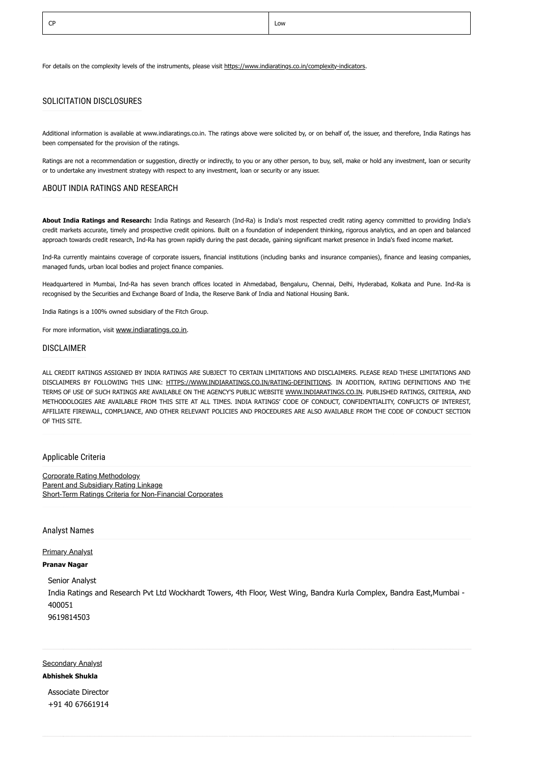For details on the complexity levels of the instruments, please visit [https://www.indiaratings.co.in/complexity-indicators.](https://www.indiaratings.co.in/complexity-indicators)

# SOLICITATION DISCLOSURES

Additional information is available at www.indiaratings.co.in. The ratings above were solicited by, or on behalf of, the issuer, and therefore, India Ratings has been compensated for the provision of the ratings.

Ratings are not a recommendation or suggestion, directly or indirectly, to you or any other person, to buy, sell, make or hold any investment, loan or security or to undertake any investment strategy with respect to any investment, loan or security or any issuer.

#### ABOUT INDIA RATINGS AND RESEARCH

**About India Ratings and Research:** India Ratings and Research (Ind-Ra) is India's most respected credit rating agency committed to providing India's credit markets accurate, timely and prospective credit opinions. Built on a foundation of independent thinking, rigorous analytics, and an open and balanced approach towards credit research, Ind-Ra has grown rapidly during the past decade, gaining significant market presence in India's fixed income market.

Ind-Ra currently maintains coverage of corporate issuers, financial institutions (including banks and insurance companies), finance and leasing companies, managed funds, urban local bodies and project finance companies.

Headquartered in Mumbai, Ind-Ra has seven branch offices located in Ahmedabad, Bengaluru, Chennai, Delhi, Hyderabad, Kolkata and Pune. Ind-Ra is recognised by the Securities and Exchange Board of India, the Reserve Bank of India and National Housing Bank.

India Ratings is a 100% owned subsidiary of the Fitch Group.

For more information, visit [www.indiaratings.co.in](http://www.indiaratings.co.in/).

#### DISCLAIMER

ALL CREDIT RATINGS ASSIGNED BY INDIA RATINGS ARE SUBJECT TO CERTAIN LIMITATIONS AND DISCLAIMERS. PLEASE READ THESE LIMITATIONS AND DISCLAIMERS BY FOLLOWING THIS LINK: [HTTPS://WWW.INDIARATINGS.CO.IN/RATING-DEFINITIONS.](https://www.indiaratings.co.in/rating-definitions) IN ADDITION, RATING DEFINITIONS AND THE TERMS OF USE OF SUCH RATINGS ARE AVAILABLE ON THE AGENCY'S PUBLIC WEBSITE [WWW.INDIARATINGS.CO.IN.](http://www.indiaratings.co.in/) PUBLISHED RATINGS, CRITERIA, AND METHODOLOGIES ARE AVAILABLE FROM THIS SITE AT ALL TIMES. INDIA RATINGS' CODE OF CONDUCT, CONFIDENTIALITY, CONFLICTS OF INTEREST, AFFILIATE FIREWALL, COMPLIANCE, AND OTHER RELEVANT POLICIES AND PROCEDURES ARE ALSO AVAILABLE FROM THE CODE OF CONDUCT SECTION OF THIS SITE.

## Applicable Criteria

[Corporate Rating Methodology](https://www.indiaratings.co.in/Uploads/CriteriaReport/CorporateRatingMethodology.pdf) [Parent and Subsidiary Rating Linkage](https://www.indiaratings.co.in/Uploads/CriteriaReport/Parent%20and%20Subsidiary%20Linkage%20Criteria.pdf) [Short-Term Ratings Criteria for Non-Financial Corporates](https://www.indiaratings.co.in/Uploads/CriteriaReport/Short%20Term%20Rating%20Criteria.pdf)

#### Analyst Names

#### Primary Analyst

## **Pranav Nagar**

Senior Analyst India Ratings and Research Pvt Ltd Wockhardt Towers, 4th Floor, West Wing, Bandra Kurla Complex, Bandra East,Mumbai - 400051 9619814503

**Secondary Analyst** 

# **Abhishek Shukla**

Associate Director +91 40 67661914